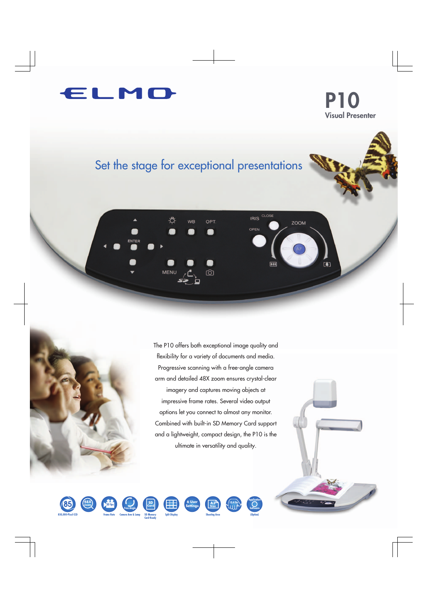

**P10 Visual Presenter**

# Set the stage for exceptional presentations



The P10 offers both exceptional image quality and flexibility for a variety of documents and media. Progressive scanning with a free-angle camera arm and detailed 48X zoom ensures crystal-clear imagery and captures moving objects at impressive frame rates. Several video output options let you connect to almost any monitor. Combined with built-in SD Memory Card support and a lightweight, compact design, the P10 is the ultimate in versatility and quality.









**Card-Ready**





**Software**

**A3 Size**